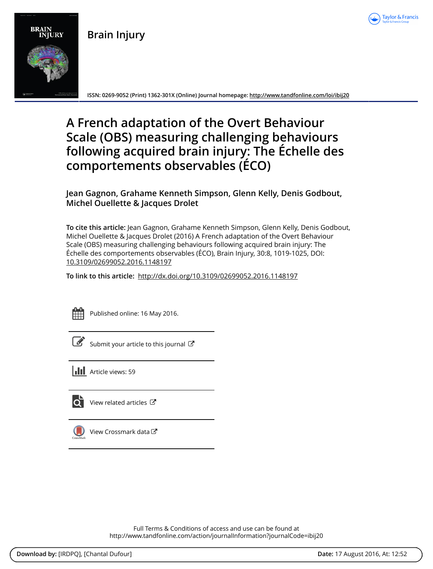

**Brain Injury**



**ISSN: 0269-9052 (Print) 1362-301X (Online) Journal homepage: <http://www.tandfonline.com/loi/ibij20>**

# **A French adaptation of the Overt Behaviour Scale (OBS) measuring challenging behaviours following acquired brain injury: The Échelle des comportements observables (ÉCO)**

### **Jean Gagnon, Grahame Kenneth Simpson, Glenn Kelly, Denis Godbout, Michel Ouellette & Jacques Drolet**

**To cite this article:** Jean Gagnon, Grahame Kenneth Simpson, Glenn Kelly, Denis Godbout, Michel Ouellette & Jacques Drolet (2016) A French adaptation of the Overt Behaviour Scale (OBS) measuring challenging behaviours following acquired brain injury: The Échelle des comportements observables (ÉCO), Brain Injury, 30:8, 1019-1025, DOI: [10.3109/02699052.2016.1148197](http://www.tandfonline.com/action/showCitFormats?doi=10.3109/02699052.2016.1148197)

**To link to this article:** <http://dx.doi.org/10.3109/02699052.2016.1148197>



Published online: 16 May 2016.

[Submit your article to this journal](http://www.tandfonline.com/action/authorSubmission?journalCode=ibij20&show=instructions)  $\mathbb{Z}$ 

 $\left| \right|$  Article views: 59



[View related articles](http://www.tandfonline.com/doi/mlt/10.3109/02699052.2016.1148197) C



[View Crossmark data](http://crossmark.crossref.org/dialog/?doi=10.3109/02699052.2016.1148197&domain=pdf&date_stamp=2016-05-16)<sup>で</sup>

Full Terms & Conditions of access and use can be found at <http://www.tandfonline.com/action/journalInformation?journalCode=ibij20>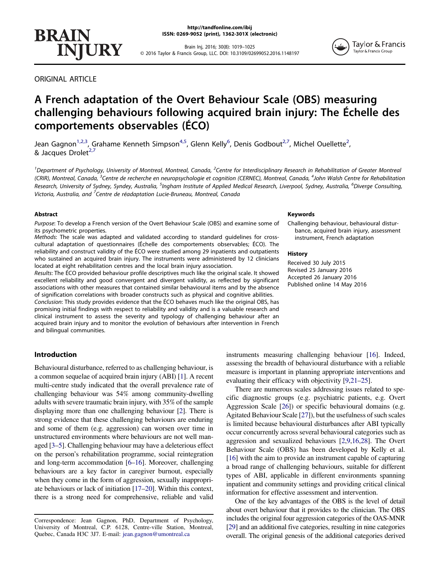Brain Inj, 2016; 30(8): 1019–1025 © 2016 Taylor & Francis Group, LLC. DOI: 10.3109/02699052.2016.1148197

ORIGINAL ARTICLE

## A French adaptation of the Overt Behaviour Scale (OBS) measuring challenging behaviours following acquired brain injury: The Échelle des comportements observables (ÉCO)

Jean Gagnon<sup>[1,2](#page-1-0)[,3](#page-1-1)</sup>, Grahame Kenneth Simpson<sup>4,5</sup>, Glenn Kelly<sup>[6](#page-1-2)</sup>, Denis Godbout<sup>2,7</sup>, Michel Ouellette<sup>2</sup>, & Jacques Drolet<sup>[2](#page-1-0)[,7](#page-1-3)</sup>

<span id="page-1-3"></span><span id="page-1-2"></span><span id="page-1-1"></span><span id="page-1-0"></span><sup>1</sup>Department of Psychology, University of Montreal, Montreal, Canada, <sup>2</sup>Centre for Interdisciplinary Research in Rehabilitation of Greater Montreal (CRIR), Montreal, Canada, <sup>3</sup>Centre de recherche en neuropsychologie et cognition (CERNEC), Montreal, Canada, <sup>4</sup>John Walsh Centre for Rehabilitation Research, University of Sydney, Syndey, Australia, <sup>5</sup>Ingham Institute of Applied Medical Research, Liverpool, Sydney, Australia, <sup>6</sup>Diverge Consulting, Victoria, Australia, and <sup>7</sup>Centre de réadaptation Lucie-Bruneau, Montreal, Canada

#### Abstract

Purpose: To develop a French version of the Overt Behaviour Scale (OBS) and examine some of its psychometric properties.

Methods: The scale was adapted and validated according to standard guidelines for crosscultural adaptation of questionnaires (Échelle des comportements observables; ÉCO). The reliability and construct validity of the ÉCO were studied among 29 inpatients and outpatients who sustained an acquired brain injury. The instruments were administered by 12 clinicians located at eight rehabilitation centres and the local brain injury association.

Results: The ÉCO provided behaviour profile descriptives much like the original scale. It showed excellent reliability and good convergent and divergent validity, as reflected by significant associations with other measures that contained similar behavioural items and by the absence of signification correlations with broader constructs such as physical and cognitive abilities.

Conclusion: This study provides evidence that the ÉCO behaves much like the original OBS, has promising initial findings with respect to reliability and validity and is a valuable research and clinical instrument to assess the severity and typology of challenging behaviour after an acquired brain injury and to monitor the evolution of behaviours after intervention in French and bilingual communities.

#### Introduction

Behavioural disturbance, referred to as challenging behaviour, is a common sequelae of acquired brain injury (ABI) [[1\]](#page-6-0). A recent multi-centre study indicated that the overall prevalence rate of challenging behaviour was 54% among community-dwelling adults with severe traumatic brain injury, with 35% of the sample displaying more than one challenging behaviour [[2](#page-6-1)]. There is strong evidence that these challenging behaviours are enduring and some of them (e.g. aggression) can worsen over time in unstructured environments where behaviours are not well managed [[3](#page-6-2)–[5](#page-6-3)]. Challenging behaviour may have a deleterious effect on the person's rehabilitation programme, social reintegration and long-term accommodation [\[6](#page-6-4)–[16\]](#page-7-0). Moreover, challenging behaviours are a key factor in caregiver burnout, especially when they come in the form of aggression, sexually inappropriate behaviours or lack of initiation [\[17](#page-7-1)–[20\]](#page-7-2). Within this context, there is a strong need for comprehensive, reliable and valid

History

Keywords

Received 30 July 2015 Revised 25 January 2016 Accepted 26 January 2016 Published online 14 May 2016

Challenging behaviour, behavioural disturbance, acquired brain injury, assessment

instrument, French adaptation

instruments measuring challenging behaviour [\[16](#page-7-0)]. Indeed, assessing the breadth of behavioural disturbance with a reliable measure is important in planning appropriate interventions and evaluating their efficacy with objectivity [[9](#page-7-3),[21](#page-7-4)–[25](#page-7-5)].

There are numerous scales addressing issues related to specific diagnostic groups (e.g. psychiatric patients, e.g. Overt Aggression Scale [\[26\]](#page-7-6)) or specific behavioural domains (e.g. Agitated Behaviour Scale [\[27](#page-7-7)]), but the usefulness of such scales is limited because behavioural disturbances after ABI typically occur concurrently across several behavioural categories such as aggression and sexualized behaviours [\[2](#page-6-1),[9,](#page-7-3)[16](#page-7-0)[,28\]](#page-7-8). The Overt Behaviour Scale (OBS) has been developed by Kelly et al. [\[16](#page-7-0)] with the aim to provide an instrument capable of capturing a broad range of challenging behaviours, suitable for different types of ABI, applicable in different environments spanning inpatient and community settings and providing critical clinical information for effective assessment and intervention.

One of the key advantages of the OBS is the level of detail about overt behaviour that it provides to the clinician. The OBS includes the original four aggression categories of the OAS-MNR [\[29\]](#page-7-9) and an additional five categories, resulting in nine categories overall. The original genesis of the additional categories derived





Correspondence: Jean Gagnon, PhD, Department of Psychology, University of Montreal, C.P. 6128, Centre-ville Station, Montreal, Quebec, Canada H3C 3J7. E-mail: jean.gagnon@umontreal.ca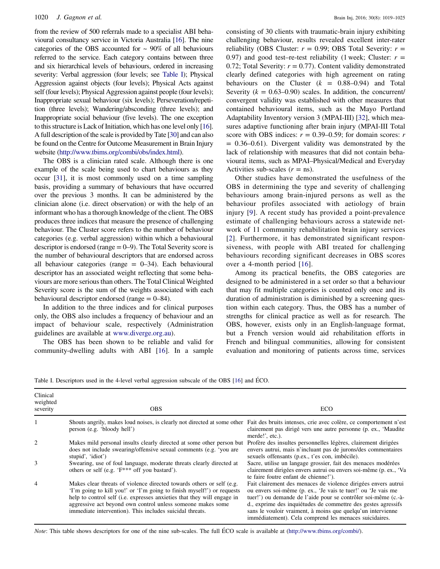from the review of 500 referrals made to a specialist ABI behavioural consultancy service in Victoria Australia [[16](#page-7-0)]. The nine categories of the OBS accounted for  $\sim$  90% of all behaviours referred to the service. Each category contains between three and six hierarchical levels of behaviours, ordered in increasing severity: Verbal aggression (four levels; see [Table I\)](#page-2-0); Physical Aggression against objects (four levels); Physical Acts against self (four levels); Physical Aggression against people (four levels); Inappropriate sexual behaviour (six levels); Perseveration/repetition (three levels); Wandering/absconding (three levels); and Inappropriate social behaviour (five levels). The one exception to this structure is Lack of Initiation, which has one level only [[16](#page-7-0)]. A full description of the scale is provided by Tate [\[30\]](#page-7-10) and can also be found on the Centre for Outcome Measurement in Brain Injury website ([http://www.tbims.org/combi/obs/index.html\)](http://www.tbims.org/combi/obs/index.html).

The OBS is a clinician rated scale. Although there is one example of the scale being used to chart behaviours as they occur [\[31\]](#page-7-11), it is most commonly used on a time sampling basis, providing a summary of behaviours that have occurred over the previous 3 months. It can be administered by the clinician alone (i.e. direct observation) or with the help of an informant who has a thorough knowledge of the client. The OBS produces three indices that measure the presence of challenging behaviour. The Cluster score refers to the number of behaviour categories (e.g. verbal aggression) within which a behavioural descriptor is endorsed (range  $= 0-9$ ). The Total Severity score is the number of behavioural descriptors that are endorsed across all behaviour categories (range  $= 0-34$ ). Each behavioural descriptor has an associated weight reflecting that some behaviours are more serious than others. The Total Clinical Weighted Severity score is the sum of the weights associated with each behavioural descriptor endorsed (range = 0–84).

In addition to the three indices and for clinical purposes only, the OBS also includes a frequency of behaviour and an impact of behaviour scale, respectively (Administration guidelines are available at [www.diverge.org.au](http://www.diverge.org.au)).

The OBS has been shown to be reliable and valid for community-dwelling adults with ABI [\[16](#page-7-0)]. In a sample consisting of 30 clients with traumatic-brain injury exhibiting challenging behaviour, results revealed excellent inter-rater reliability (OBS Cluster:  $r = 0.99$ ; OBS Total Severity:  $r =$ 0.97) and good test–re-test reliability (1 week; Cluster:  $r =$ 0.72; Total Severity:  $r = 0.77$ ). Content validity demonstrated clearly defined categories with high agreement on rating behaviours on the Cluster  $(k = 0.88 - 0.94)$  and Total Severity ( $k = 0.63{\text -}0.90$ ) scales. In addition, the concurrent/ convergent validity was established with other measures that contained behavioural items, such as the Mayo Portland Adaptability Inventory version 3 (MPAI-III) [[32\]](#page-7-12), which measures adaptive functioning after brain injury (MPAI-III Total score with OBS indices:  $r = 0.39{\text -}0.59$ ; for domain scores: r  $= 0.36 - 0.61$ ). Divergent validity was demonstrated by the lack of relationship with measures that did not contain behavioural items, such as MPAI–Physical/Medical and Everyday Activities sub-scales  $(r = ns)$ .

Other studies have demonstrated the usefulness of the OBS in determining the type and severity of challenging behaviours among brain-injured persons as well as the behaviour profiles associated with aetiology of brain injury [\[9](#page-7-3)]. A recent study has provided a point-prevalence estimate of challenging behaviours across a statewide network of 11 community rehabilitation brain injury services [[2\]](#page-6-1). Furthermore, it has demonstrated significant responsiveness, with people with ABI treated for challenging behaviours recording significant decreases in OBS scores over a 4-month period [[16](#page-7-0)].

Among its practical benefits, the OBS categories are designed to be administered in a set order so that a behaviour that may fit multiple categories is counted only once and its duration of administration is diminished by a screening question within each category. Thus, the OBS has a number of strengths for clinical practice as well as for research. The OBS, however, exists only in an English-language format, but a French version would aid rehabilitation efforts in French and bilingual communities, allowing for consistent evaluation and monitoring of patients across time, services

<span id="page-2-0"></span>Table I. Descriptors used in the 4-level verbal aggression subscale of the OBS [[16](#page-7-0)] and ÉCO.

| Clinical<br>weighted<br>severity | <b>OBS</b>                                                                                                                                                                                                                                                                                                                                            | ECO                                                                                                                                                                                                                                                                                                                                                                                         |
|----------------------------------|-------------------------------------------------------------------------------------------------------------------------------------------------------------------------------------------------------------------------------------------------------------------------------------------------------------------------------------------------------|---------------------------------------------------------------------------------------------------------------------------------------------------------------------------------------------------------------------------------------------------------------------------------------------------------------------------------------------------------------------------------------------|
|                                  | Shouts angrily, makes loud noises, is clearly not directed at some other Fait des bruits intenses, crie avec colère, ce comportement n'est<br>person (e.g. 'bloody hell')                                                                                                                                                                             | clairement pas dirigé vers une autre personne (p. ex., 'Maudite'<br>merde!', etc.).                                                                                                                                                                                                                                                                                                         |
| 2                                | Makes mild personal insults clearly directed at some other person but<br>does not include swearing/offensive sexual comments (e.g. 'you are<br>stupid', 'idiot')                                                                                                                                                                                      | Profère des insultes personnelles légères, clairement dirigées<br>envers autrui, mais n'incluant pas de jurons/des commentaires<br>sexuels offensants (p.ex., t'es con, imbécile).                                                                                                                                                                                                          |
| 3                                | Swearing, use of foul language, moderate threats clearly directed at<br>others or self (e.g. 'F <sup>***</sup> off you bastard').                                                                                                                                                                                                                     | Sacre, utilise un langage grossier, fait des menaces modérées<br>clairement dirigées envers autrui ou envers soi-même (p. ex., 'Va<br>te faire foutre enfant de chienne!').                                                                                                                                                                                                                 |
| 4                                | Makes clear threats of violence directed towards others or self (e.g.<br>'I'm going to kill you!' or 'I'm going to finish myself!') or requests<br>help to control self (i.e. expresses anxieties that they will engage in<br>aggressive act beyond own control unless someone makes some<br>immediate intervention). This includes suicidal threats. | Fait clairement des menaces de violence dirigées envers autrui<br>ou envers soi-même (p. ex., 'Je vais te tuer!' ou 'Je vais me<br>tuer!') ou demande de l'aide pour se contrôler soi-même (c.-à-<br>d., exprime des inquiétudes de commettre des gestes agressifs<br>sans le vouloir vraiment, à moins que quelqu'un intervienne<br>immédiatement). Cela comprend les menaces suicidaires. |

Note: This table shows descriptors for one of the nine sub-scales. The full ÉCO scale is available at (<http://www.tbims.org/combi/>).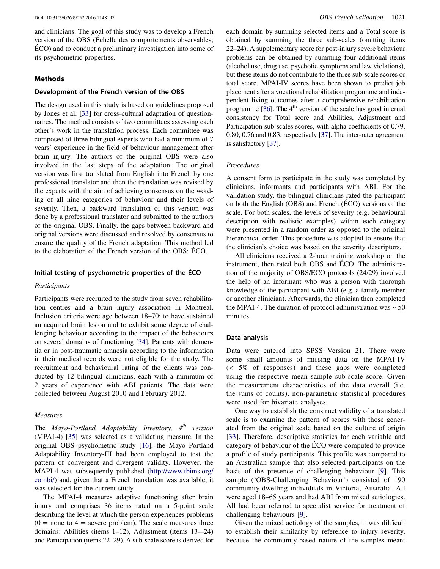and clinicians. The goal of this study was to develop a French version of the OBS (Échelle des comportements observables; ÉCO) and to conduct a preliminary investigation into some of its psychometric properties.

#### Methods

#### Development of the French version of the OBS

The design used in this study is based on guidelines proposed by Jones et al. [[33\]](#page-7-13) for cross-cultural adaptation of questionnaires. The method consists of two committees assessing each other's work in the translation process. Each committee was composed of three bilingual experts who had a minimum of 7 years' experience in the field of behaviour management after brain injury. The authors of the original OBS were also involved in the last steps of the adaptation. The original version was first translated from English into French by one professional translator and then the translation was revised by the experts with the aim of achieving consensus on the wording of all nine categories of behaviour and their levels of severity. Then, a backward translation of this version was done by a professional translator and submitted to the authors of the original OBS. Finally, the gaps between backward and original versions were discussed and resolved by consensus to ensure the quality of the French adaptation. This method led to the elaboration of the French version of the OBS: ÉCO.

#### Initial testing of psychometric properties of the ÉCO

#### Participants

Participants were recruited to the study from seven rehabilitation centres and a brain injury association in Montreal. Inclusion criteria were age between 18–70; to have sustained an acquired brain lesion and to exhibit some degree of challenging behaviour according to the impact of the behaviours on several domains of functioning [[34\]](#page-7-14). Patients with dementia or in post-traumatic amnesia according to the information in their medical records were not eligible for the study. The recruitment and behavioural rating of the clients was conducted by 12 bilingual clinicians, each with a minimum of 2 years of experience with ABI patients. The data were collected between August 2010 and February 2012.

#### Measures

The Mayo-Portland Adaptability Inventory,  $4^{th}$  version (MPAI-4) [[35\]](#page-7-15) was selected as a validating measure. In the original OBS psychometric study [\[16](#page-7-0)], the Mayo Portland Adaptability Inventory-III had been employed to test the pattern of convergent and divergent validity. However, the MAPI-4 was subsequently published ([http://www.tbims.org/](http://www.tbims.org/combi/) [combi/\)](http://www.tbims.org/combi/) and, given that a French translation was available, it was selected for the current study.

The MPAI-4 measures adaptive functioning after brain injury and comprises 36 items rated on a 5-point scale describing the level at which the person experiences problems  $(0 =$  none to  $4 =$  severe problem). The scale measures three domains: Abilities (items 1–12), Adjustment (items 13-–24) and Participation (items 22–29). A sub-scale score is derived for each domain by summing selected items and a Total score is obtained by summing the three sub-scales (omitting items 22–24). A supplementary score for post-injury severe behaviour problems can be obtained by summing four additional items (alcohol use, drug use, psychotic symptoms and law violations), but these items do not contribute to the three sub-scale scores or total score. MPAI-IV scores have been shown to predict job placement after a vocational rehabilitation programme and independent living outcomes after a comprehensive rehabilitation programme  $[36]$  $[36]$ . The  $4<sup>th</sup>$  version of the scale has good internal consistency for Total score and Abilities, Adjustment and Participation sub-scales scores, with alpha coefficients of 0.79, 0.80, 0.76 and 0.83, respectively [[37\]](#page-7-17). The inter-rater agreement is satisfactory [\[37\]](#page-7-17).

#### Procedures

A consent form to participate in the study was completed by clinicians, informants and participants with ABI. For the validation study, the bilingual clinicians rated the participant on both the English (OBS) and French (ÉCO) versions of the scale. For both scales, the levels of severity (e.g. behavioural description with realistic examples) within each category were presented in a random order as opposed to the original hierarchical order. This procedure was adopted to ensure that the clinician's choice was based on the severity descriptors.

All clinicians received a 2-hour training workshop on the instrument, then rated both OBS and ÉCO. The administration of the majority of OBS/ÉCO protocols (24/29) involved the help of an informant who was a person with thorough knowledge of the participant with ABI (e.g. a family member or another clinician). Afterwards, the clinician then completed the MPAI-4. The duration of protocol administration was  $\sim$  50 minutes.

#### Data analysis

Data were entered into SPSS Version 21. There were some small amounts of missing data on the MPAI-IV (< 5% of responses) and these gaps were completed using the respective mean sample sub-scale score. Given the measurement characteristics of the data overall (i.e. the sums of counts), non-parametric statistical procedures were used for bivariate analyses.

One way to establish the construct validity of a translated scale is to examine the pattern of scores with those generated from the original scale based on the culture of origin [\[33\]](#page-7-13). Therefore, descriptive statistics for each variable and category of behaviour of the ÉCO were computed to provide a profile of study participants. This profile was compared to an Australian sample that also selected participants on the basis of the presence of challenging behaviour [[9\]](#page-7-3). This sample ('OBS-Challenging Behaviour') consisted of 190 community-dwelling individuals in Victoria, Australia. All were aged 18–65 years and had ABI from mixed aetiologies. All had been referred to specialist service for treatment of challenging behaviours [\[9](#page-7-3)].

Given the mixed aetiology of the samples, it was difficult to establish their similarity by reference to injury severity, because the community-based nature of the samples meant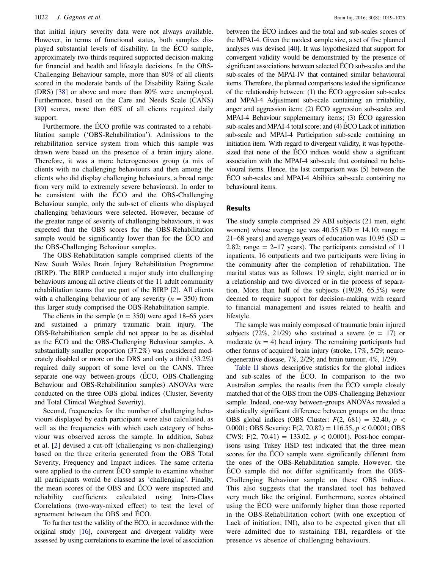that initial injury severity data were not always available. However, in terms of functional status, both samples displayed substantial levels of disability. In the ÉCO sample, approximately two-thirds required supported decision-making for financial and health and lifestyle decisions. In the OBS-Challenging Behaviour sample, more than 80% of all clients scored in the moderate bands of the Disability Rating Scale (DRS) [\[38](#page-7-18)] or above and more than 80% were unemployed. Furthermore, based on the Care and Needs Scale (CANS) [\[39](#page-7-19)] scores, more than 60% of all clients required daily support.

Furthermore, the ÉCO profile was contrasted to a rehabilitation sample ('OBS-Rehabilitation'). Admissions to the rehabilitation service system from which this sample was drawn were based on the presence of a brain injury alone. Therefore, it was a more heterogeneous group (a mix of clients with no challenging behaviours and then among the clients who did display challenging behaviours, a broad range from very mild to extremely severe behaviours). In order to be consistent with the ÉCO and the OBS-Challenging Behaviour sample, only the sub-set of clients who displayed challenging behaviours were selected. However, because of the greater range of severity of challenging behaviours, it was expected that the OBS scores for the OBS-Rehabilitation sample would be significantly lower than for the ÉCO and the OBS-Challenging Behaviour samples.

The OBS-Rehabilitation sample comprised clients of the New South Wales Brain Injury Rehabilitation Programme (BIRP). The BIRP conducted a major study into challenging behaviours among all active clients of the 11 adult community rehabilitation teams that are part of the BIRP [[2\]](#page-6-1). All clients with a challenging behaviour of any severity ( $n = 350$ ) from this larger study comprised the OBS-Rehabilitation sample.

The clients in the sample  $(n = 350)$  were aged 18–65 years and sustained a primary traumatic brain injury. The OBS-Rehabilitation sample did not appear to be as disabled as the ÉCO and the OBS-Challenging Behaviour samples. A substantially smaller proportion (37.2%) was considered moderately disabled or more on the DRS and only a third (33.2%) required daily support of some level on the CANS. Three separate one-way between-groups (ÉCO, OBS-Challenging Behaviour and OBS-Rehabilitation samples) ANOVAs were conducted on the three OBS global indices (Cluster, Severity and Total Clinical Weighted Severity).

Second, frequencies for the number of challenging behaviours displayed by each participant were also calculated, as well as the frequencies with which each category of behaviour was observed across the sample. In addition, Sabaz et al. [\[2\]](#page-6-1) devised a cut-off (challenging vs non-challenging) based on the three criteria generated from the OBS Total Severity, Frequency and Impact indices. The same criteria were applied to the current ECO sample to examine whether all participants would be classed as 'challenging'. Finally, the mean scores of the OBS and ÉCO were inspected and reliability coefficients calculated using Intra-Class Correlations (two-way-mixed effect) to test the level of agreement between the OBS and ÉCO.

To further test the validity of the ÉCO, in accordance with the original study [\[16\]](#page-7-0), convergent and divergent validity were assessed by using correlations to examine the level of association between the ÉCO indices and the total and sub-scales scores of the MPAI-4. Given the modest sample size, a set of five planned analyses was devised [\[40\]](#page-7-20). It was hypothesized that support for convergent validity would be demonstrated by the presence of significant associations between selected ÉCO sub-scales and the sub-scales of the MPAI-IV that contained similar behavioural items. Therefore, the planned comparisons tested the significance of the relationship between: (1) the ÉCO aggression sub-scales and MPAI-4 Adjustment sub-scale containing an irritability, anger and aggression item; (2) ÉCO aggression sub-scales and MPAI-4 Behaviour supplementary items; (3) ÉCO aggression sub-scales and MPAI-4 total score; and (4) ÉCO Lack of initiation sub-scale and MPAI-4 Participation sub-scale containing an initiation item. With regard to divergent validity, it was hypothesized that none of the ÉCO indices would show a significant association with the MPAI-4 sub-scale that contained no behavioural items. Hence, the last comparison was (5) between the ÉCO sub-scales and MPAI-4 Abilities sub-scale containing no behavioural items.

#### Results

The study sample comprised 29 ABI subjects (21 men, eight women) whose average age was  $40.55$  (SD = 14.10; range = 21–68 years) and average years of education was  $10.95$  (SD = 2.82; range  $= 2-17$  years). The participants consisted of 11 inpatients, 16 outpatients and two participants were living in the community after the completion of rehabilitation. The marital status was as follows: 19 single, eight married or in a relationship and two divorced or in the process of separation. More than half of the subjects (19/29, 65.5%) were deemed to require support for decision-making with regard to financial management and issues related to health and lifestyle.

The sample was mainly composed of traumatic brain injured subjects (72%, 21/29) who sustained a severe  $(n = 17)$  or moderate  $(n = 4)$  head injury. The remaining participants had other forms of acquired brain injury (stroke, 17%, 5/29; neurodegenerative disease, 7%, 2/29; and brain tumour, 4%, 1/29).

[Table II](#page-5-0) shows descriptive statistics for the global indices and sub-scales of the ÉCO. In comparison to the two Australian samples, the results from the ÉCO sample closely matched that of the OBS from the OBS-Challenging Behaviour sample. Indeed, one-way between-groups ANOVAs revealed a statistically significant difference between groups on the three OBS global indices (OBS Cluster:  $F(2, 681) = 32.40$ ,  $p <$ 0.0001; OBS Severity:  $F(2, 70.82) = 116.55$ ,  $p < 0.0001$ ; OBS CWS: F(2, 70.41) = 133.02,  $p < 0.0001$ ). Post-hoc comparisons using Tukey HSD test indicated that the three mean scores for the ÉCO sample were significantly different from the ones of the OBS-Rehabilitation sample. However, the ECO sample did not differ significantly from the OBS-Challenging Behaviour sample on these OBS indices. This also suggests that the translated tool has behaved very much like the original. Furthermore, scores obtained using the ÉCO were uniformly higher than those reported in the OBS-Rehabilitation cohort (with one exception of Lack of initiation; INI), also to be expected given that all were admitted due to sustaining TBI, regardless of the presence vs absence of challenging behaviours.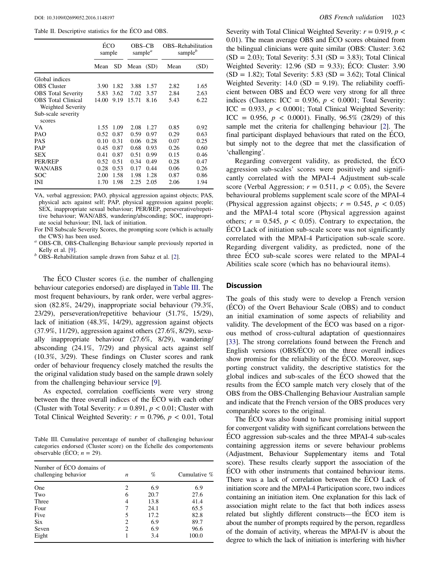<span id="page-5-0"></span>Table II. Descriptive statistics for the ÉCO and OBS.

|                                                |       | ÉCO<br>sample |           | OBS–CB<br>sample <sup><math>a</math></sup> | OBS-Rehabilitation<br>sample <sup>b</sup> |      |
|------------------------------------------------|-------|---------------|-----------|--------------------------------------------|-------------------------------------------|------|
|                                                | Mean  | SD            | Mean (SD) |                                            | Mean                                      | (SD) |
| Global indices                                 |       |               |           |                                            |                                           |      |
| <b>OBS</b> Cluster                             | 3.90  | 1.82          | 3.88      | 1.57                                       | 2.82                                      | 1.65 |
| <b>OBS</b> Total Severity                      | 5.83  | 3.62          | 7.02      | 3.57                                       | 2.84                                      | 2.63 |
| <b>OBS</b> Total Clinical<br>Weighted Severity | 14.00 | 9.19          | 15.71     | 8.16                                       | 5.43                                      | 6.22 |
| Sub-scale severity                             |       |               |           |                                            |                                           |      |
| scores                                         |       |               |           |                                            |                                           |      |
| VA.                                            | 1.55  | 1.09          | 2.08      | 1.27                                       | 0.85                                      | 0.92 |
| <b>PAO</b>                                     | 0.52  | 0.87          | 0.59      | 0.97                                       | 0.29                                      | 0.63 |
| PAS                                            | 0.10  | 0.31          | 0.06      | 0.28                                       | 0.07                                      | 0.25 |
| PAP                                            | 0.45  | 0.87          | 0.68      | 0.93                                       | 0.26                                      | 0.60 |
| SEX                                            | 0.41  | 0.87          | 0.51      | 0.99                                       | 0.15                                      | 0.46 |
| PER/REP                                        | 0.52  | 0.51          | 0.34      | 0.49                                       | 0.28                                      | 0.47 |
| WAN/ABS                                        | 0.28  | 0.53          | 0.17      | 0.44                                       | 0.06                                      | 0.26 |
| SOC                                            | 2.00  | 1.58          | 1.98      | 1.28                                       | 0.87                                      | 0.86 |
| INI                                            | 1.70  | 1.98          | 2.25      | 2.05                                       | 2.06                                      | 1.94 |

VA, verbal aggression; PAO, physical aggression against objects; PAS, physical acts against self; PAP, physical aggression against people; SEX, inappropriate sexual behaviour; PER/REP, perseverative/repetitive behaviour; WAN/ABS, wandering/absconding; SOC, inappropriate social behaviour; INI, lack of initiation.

For INI Subscale Severity Scores, the prompting score (which is actually the CWS) has been used.<br>OBS-CB, OBS-Challenging Behaviour sample previously reported in

Kelly et al. [\[9](#page-7-3)].<br> $<sup>b</sup>$  OBS–Rehabilitation sample drawn from Sabaz et al. [[2\]](#page-6-1).</sup>

The ÉCO Cluster scores (i.e. the number of challenging behaviour categories endorsed) are displayed in [Table III](#page-5-1). The most frequent behaviours, by rank order, were verbal aggression (82.8%, 24/29), inappropriate social behaviour (79.3%, 23/29), perseveration/repetitive behaviour (51.7%, 15/29), lack of initiation (48.3%, 14/29), aggression against objects (37.9%, 11/29), aggression against others (27.6%, 8/29), sexually inappropriate behaviour (27.6%, 8/29), wandering/ absconding (24.1%, 7/29) and physical acts against self (10.3%, 3/29). These findings on Cluster scores and rank order of behaviour frequency closely matched the results the the original validation study based on the sample drawn solely from the challenging behaviour service [\[9](#page-7-3)].

As expected, correlation coefficients were very strong between the three overall indices of the ÉCO with each other (Cluster with Total Severity:  $r = 0.891$ ,  $p < 0.01$ ; Cluster with Total Clinical Weighted Severity:  $r = 0.796$ ,  $p < 0.01$ , Total

<span id="page-5-1"></span>Table III. Cumulative percentage of number of challenging behaviour categories endorsed (Cluster score) on the Échelle des comportements observable (ÉCO;  $n = 29$ ).

| Number of ECO domains of<br>challenging behavior | $\boldsymbol{n}$ | %    | Cumulative % |
|--------------------------------------------------|------------------|------|--------------|
| One                                              | 2                | 6.9  | 6.9          |
| Two                                              | 6                | 20.7 | 27.6         |
| Three                                            | 4                | 13.8 | 41.4         |
| Four                                             |                  | 24.1 | 65.5         |
| Five                                             | 5                | 17.2 | 82.8         |
| <b>Six</b>                                       | 2                | 6.9  | 89.7         |
| Seven                                            | $\overline{c}$   | 6.9  | 96.6         |
| Eight                                            |                  | 3.4  | 100.0        |

Severity with Total Clinical Weighted Severity:  $r = 0.919$ ,  $p <$ 0.01). The mean average OBS and ÉCO scores obtained from the bilingual clinicians were quite similar (OBS: Cluster: 3.62  $(SD = 2.03)$ ; Total Severity: 5.31  $(SD = 3.83)$ ; Total Clinical Weighted Severity:  $12.96$  (SD = 9.33); ÉCO: Cluster: 3.90  $(SD = 1.82)$ ; Total Severity: 5.83  $(SD = 3.62)$ ; Total Clinical Weighted Severity:  $14.0$  (SD = 9.19). The reliability coefficient between OBS and ÉCO were very strong for all three indices (Clusters: ICC = 0.936,  $p < 0.0001$ ; Total Severity: ICC = 0.933,  $p < 0.0001$ ; Total Clinical Weighted Severity: ICC = 0.956,  $p < 0.0001$ ). Finally, 96.5% (28/29) of this sample met the criteria for challenging behaviour [[2\]](#page-6-1). The final participant displayed behaviours that rated on the ÉCO, but simply not to the degree that met the classification of 'challenging'.

Regarding convergent validity, as predicted, the ÉCO aggression sub-scales' scores were positively and significantly correlated with the MPAI-4 Adjustment sub-scale score (Verbal Aggression;  $r = 0.511$ ,  $p < 0.05$ ), the Severe behavioural problems supplement scale score of the MPAI-4 (Physical aggression against objects;  $r = 0.545$ ,  $p < 0.05$ ) and the MPAI-4 total score (Physical aggression against others;  $r = 0.545$ ,  $p < 0.05$ ). Contrary to expectation, the ÉCO Lack of initiation sub-scale score was not significantly correlated with the MPAI-4 Participation sub-scale score. Regarding divergent validity, as predicted, none of the three ÉCO sub-scale scores were related to the MPAI-4 Abilities scale score (which has no behavioural items).

#### **Discussion**

The goals of this study were to develop a French version (ÉCO) of the Overt Behaviour Scale (OBS) and to conduct an initial examination of some aspects of reliability and validity. The development of the ÉCO was based on a rigorous method of cross-cultural adaptation of questionnaires [\[33](#page-7-13)]. The strong correlations found between the French and English versions (OBS/ÉCO) on the three overall indices show promise for the reliability of the ÉCO. Moreover, supporting construct validity, the descriptive statistics for the global indices and sub-scales of the ÉCO showed that the results from the ÉCO sample match very closely that of the OBS from the OBS-Challenging Behaviour Australian sample and indicate that the French version of the OBS produces very comparable scores to the original.

The ÉCO was also found to have promising initial support for convergent validity with significant correlations between the ÉCO aggression sub-scales and the three MPAI-4 sub-scales containing aggression items or severe behaviour problems (Adjustment, Behaviour Supplementary items and Total score). These results clearly support the association of the ÉCO with other instruments that contained behaviour items. There was a lack of correlation between the ÉCO Lack of initiation score and the MPAI-4 Participation score, two indices containing an initiation item. One explanation for this lack of association might relate to the fact that both indices assess related but slightly different constructs—the ÉCO item is about the number of prompts required by the person, regardless of the domain of activity, whereas the MPAI-IV is about the degree to which the lack of initiation is interfering with his/her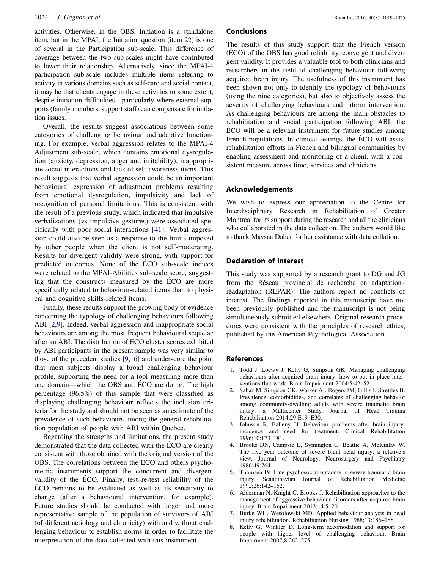activities. Otherwise, in the OBS, Initiation is a standalone item, but in the MPAI, the Initiation question (item 22) is one of several in the Participation sub-scale. This difference of coverage between the two sub-scales might have contributed to lower their relationship. Alternatively, since the MPAI-4 participation sub-scale includes multiple items referring to activity in various domains such as self-care and social contact, it may be that clients engage in these activities to some extent, despite initiation difficulties—particularly where external supports (family members, support staff) can compensate for initiation issues.

Overall, the results suggest associations between some categories of challenging behaviour and adaptive functioning. For example, verbal aggression relates to the MPAI-4 Adjustment sub-scale, which contains emotional dysregulation (anxiety, depression, anger and irritability), inappropriate social interactions and lack of self-awareness items. This result suggests that verbal aggression could be an important behavioural expression of adjustment problems resulting from emotional dysregulation, impulsivity and lack of recognition of personal limitations. This is consistent with the result of a previous study, which indicated that impulsive verbalizations (vs impulsive gestures) were associated specifically with poor social interactions [[41](#page-7-21)]. Verbal aggression could also be seen as a response to the limits imposed by other people when the client is not self-moderating. Results for divergent validity were strong, with support for predicted outcomes. None of the ÉCO sub-scale indices were related to the MPAI-Abilities sub-scale score, suggesting that the constructs measured by the ÉCO are more specifically related to behaviour-related items than to physical and cognitive skills-related items.

Finally, these results support the growing body of evidence concerning the typology of challenging behaviours following ABI [[2,](#page-6-1)[9](#page-7-3)]. Indeed, verbal aggression and inappropriate social behaviours are among the most frequent behavioural sequelae after an ABI. The distribution of ÉCO cluster scores exhibited by ABI participants in the present sample was very similar to those of the precedent studies [[9](#page-7-3)[,16](#page-7-0)] and underscore the point that most subjects display a broad challenging behaviour profile, supporting the need for a tool measuring more than one domain—which the OBS and ÉCO are doing. The high percentage (96.5%) of this sample that were classified as displaying challenging behaviour reflects the inclusion criteria for the study and should not be seen as an estimate of the prevalence of such behaviours among the general rehabilitation population of people with ABI within Quebec.

Regarding the strengths and limitations, the present study demonstrated that the data collected with the ÉCO are clearly consistent with those obtained with the original version of the OBS. The correlations between the ECO and others psychometric instruments support the concurrent and divergent validity of the ÉCO. Finally, test–re-test reliability of the ÉCO remains to be evaluated as well as its sensitivity to change (after a behavioural intervention, for example). Future studies should be conducted with larger and more representative sample of the population of survivors of ABI (of different aetiology and chronicity) with and without challenging behaviour to establish norms in order to facilitate the interpretation of the data collected with this instrument.

#### Conclusions

The results of this study support that the French version (ÉCO) of the OBS has good reliability, convergent and divergent validity. It provides a valuable tool to both clinicians and researchers in the field of challenging behaviour following acquired brain injury. The usefulness of this instrument has been shown not only to identify the typology of behaviours (using the nine categories), but also to objectively assess the severity of challenging behaviours and inform intervention. As challenging behaviours are among the main obstacles to rehabilitation and social participation following ABI, the ÉCO will be a relevant instrument for future studies among French populations. In clinical settings, the ÉCO will assist rehabilitation efforts in French and bilingual communities by enabling assessment and monitoring of a client, with a consistent measure across time, services and clinicians.

#### Acknowledgements

We wish to express our appreciation to the Centre for Interdisciplinary Research in Rehabilitation of Greater Montreal for its support during the research and all the clinicians who collaborated in the data collection. The authors would like to thank Maysaa Daher for her assistance with data collation.

#### Declaration of interest

This study was supported by a research grant to DG and JG from the Réseau provincial de recherche en adaptation– réadaptation (REPAR). The authors report no conflicts of interest. The findings reported in this manuscript have not been previously published and the manuscript is not being simultaneously submitted elsewhere. Original research procedures were consistent with the principles of research ethics, published by the American Psychological Association.

#### References

- <span id="page-6-0"></span>1. Todd J, Loewy J, Kelly G, Simpson GK. Managing challenging behaviours after acquired brain injury: how to put in place interventions that work. Brain Impairment 2004;5:42–52.
- <span id="page-6-1"></span>2. Sabaz M, Simpson GK, Walker AJ, Rogers JM, Gillis I, Strettles B. Prevalence, comorbidities, and correlates of challenging behavior among community-dwelling adults with severe traumatic brain injury: a Multicenter Study. Journal of Head Trauma Rehabilitation 2014;29:E19–E30.
- <span id="page-6-2"></span>3. Johnson R, Balleny H. Behaviour problems after brain injury: incidence and need for treatment. Clinical Rehabilitation 1996;10:173–181.
- 4. Brooks DN, Campsie L, Symington C, Beattie A, McKinlay W. The five year outcome of severe blunt head injury: a relative's view. Journal of Neurology, Neurosurgery and Psychiatry 1986;49:764.
- <span id="page-6-3"></span>5. Thomsen IV. Late psychosocial outcome in severe traumatic brain injury. Scandinavian Journal of Rehabilitation Medicine 1992;26:142–152.
- <span id="page-6-4"></span>6. Alderman N, Knight C, Brooks J. Rehabilitation approaches to the management of aggressive behaviour disorders after acquired brain injury. Brain Impairment 2013;14:5–20.
- 7. Burke WH, Wesolowski MD. Applied behaviour analysis in head injury rehabilitation. Rehabilitation Nursing 1988;13:186–188.
- Kelly G, Winkler D. Long-term accomodation and support for people with higher level of challenging behaviour. Brain Impairment 2007;8:262–275.